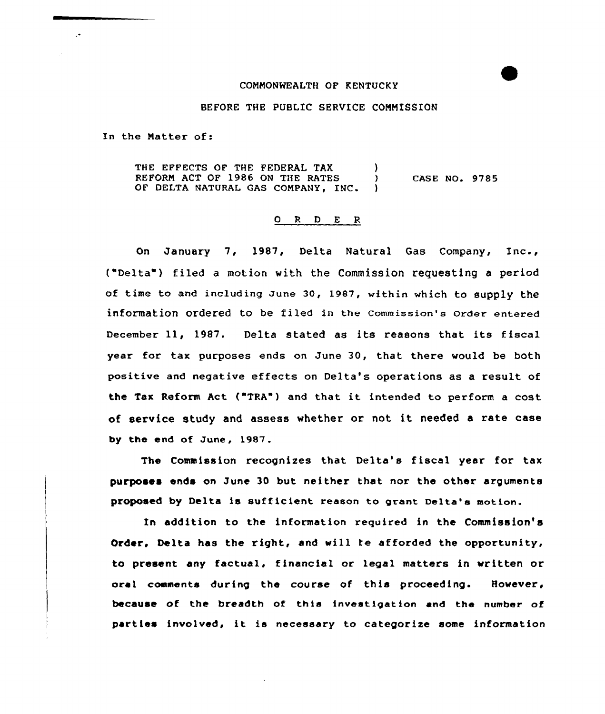## COMMONWEALTH OF KENTUCKY

## BEFORE THE PUBLIC SERUICE COMMISSION

In the Matter of:

 $\mathcal{L}$ 

THE EFFECTS OF THE FEDERAL TAX (a) REFORM ACT OF 1986 ON THE RATES ( OF DELTA NATURAL GAS COMPANY, INC. CASE NO. 9785

## 0 <sup>R</sup> <sup>D</sup> E <sup>R</sup>

On January 7, l987, Delta Natural Gas Company, Inc., ("Delta" ) filed <sup>a</sup> motion with the Commission requesting <sup>a</sup> period of time to and including June 30, 1987, within which to supply the infOrmatiOn Ordered tO be filed in the Commission's Order entered December 11, 1987. Delta stated as its reasons that its fiscal year for tax purposes ends on June 30, that there would be both positive and negative effects on Delta's operations as a result of the Tax Reform Act ("TRA") and that it intended to perform <sup>a</sup> cost of service study and assess whether or not it needed <sup>a</sup> rate case by the end of June, 1987.

The Commission recognizes that Delta's fiscal year for tax purposes ends on June 30 but neither that nor the other arguments proposed by Delta is sufficient reason to grant Delta's metion.

In addition to the information required in the Commission's drder. Delta has the right, and will ke afforded the opportunity, to present any factual, financial or legal matters in written or oral comments during the course of this proceeding. However, because of the breadth of this investigation and the number of parties involved, it is necessary to categorize some information